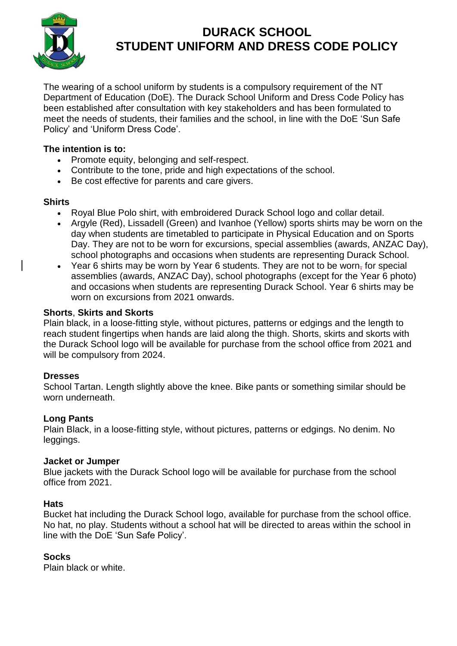

# **DURACK SCHOOL STUDENT UNIFORM AND DRESS CODE POLICY**

The wearing of a school uniform by students is a compulsory requirement of the NT Department of Education (DoE). The Durack School Uniform and Dress Code Policy has been established after consultation with key stakeholders and has been formulated to meet the needs of students, their families and the school, in line with the DoE 'Sun Safe Policy' and 'Uniform Dress Code'.

# **The intention is to:**

- Promote equity, belonging and self-respect.
- Contribute to the tone, pride and high expectations of the school.
- Be cost effective for parents and care givers.

## **Shirts**

- Royal Blue Polo shirt, with embroidered Durack School logo and collar detail.
- Argyle (Red), Lissadell (Green) and Ivanhoe (Yellow) sports shirts may be worn on the day when students are timetabled to participate in Physical Education and on Sports Day. They are not to be worn for excursions, special assemblies (awards, ANZAC Day), school photographs and occasions when students are representing Durack School.
- Year 6 shirts may be worn by Year 6 students. They are not to be worn, for special assemblies (awards, ANZAC Day), school photographs (except for the Year 6 photo) and occasions when students are representing Durack School. Year 6 shirts may be worn on excursions from 2021 onwards.

## **Shorts**, **Skirts and Skorts**

Plain black, in a loose-fitting style, without pictures, patterns or edgings and the length to reach student fingertips when hands are laid along the thigh. Shorts, skirts and skorts with the Durack School logo will be available for purchase from the school office from 2021 and will be compulsory from 2024.

## **Dresses**

School Tartan. Length slightly above the knee. Bike pants or something similar should be worn underneath.

## **Long Pants**

Plain Black, in a loose-fitting style, without pictures, patterns or edgings. No denim. No leggings.

## **Jacket or Jumper**

Blue jackets with the Durack School logo will be available for purchase from the school office from 2021.

## **Hats**

Bucket hat including the Durack School logo, available for purchase from the school office. No hat, no play. Students without a school hat will be directed to areas within the school in line with the DoE 'Sun Safe Policy'.

# **Socks**

Plain black or white.